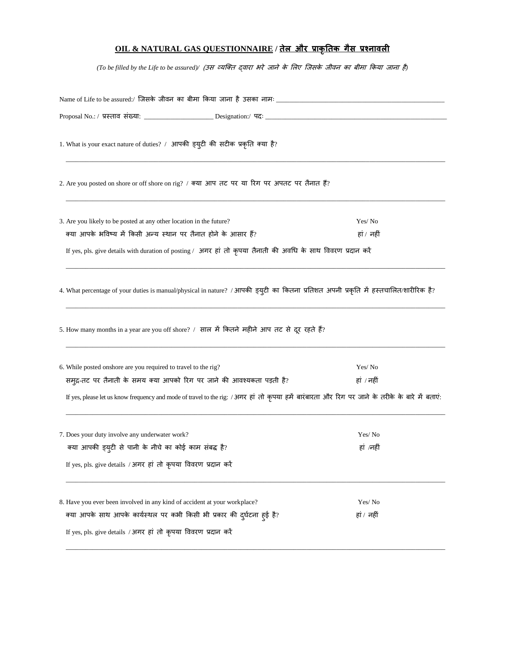## **OIL & NATURAL GAS QUESTIONNAIRE / तेल और प्राकृततक गैस प्रश्नावली**

*(To be filled by the Life to be assured)/* (उस व्यक्ति द्वारा भरे जाने के लिए क्जसके जीवन का बीमा ककया जाना है*)*

| Name of Life to be assured:/ जिसके जीवन का बीमा किया जाना है उसका नामः ____________________________                                             |            |  |  |  |  |
|-------------------------------------------------------------------------------------------------------------------------------------------------|------------|--|--|--|--|
|                                                                                                                                                 |            |  |  |  |  |
| 1. What is your exact nature of duties? / आपकी ड्युटी की सटीक प्रकृति क्या है?                                                                  |            |  |  |  |  |
| 2. Are you posted on shore or off shore on rig? / क्या आप तट पर या रिग पर अपतट पर तैनात हैं?                                                    |            |  |  |  |  |
| 3. Are you likely to be posted at any other location in the future?                                                                             | Yes/No     |  |  |  |  |
| क्या आपके भविष्य में किसी अन्य स्थान पर तैनात होने के आसार हैं?<br>हां / नहीं                                                                   |            |  |  |  |  |
| If yes, pls. give details with duration of posting / अगर हां तो कृपया तैनाती की अवधि के साथ विवरण प्रदान करें                                   |            |  |  |  |  |
| 4. What percentage of your duties is manual/physical in nature? / आपकी ड्युटी का कितना प्रतिशत अपनी प्रकृति में हस्तचालित/शारीरिक है?           |            |  |  |  |  |
| 5. How many months in a year are you off shore? / साल में कितने महीने आप तट से दूर रहते हैं?                                                    |            |  |  |  |  |
| 6. While posted onshore are you required to travel to the rig?                                                                                  | Yes/No     |  |  |  |  |
| समुद्र-तट पर तैनाती के समय क्या आपको रिग पर जाने की आवश्यकता पड़ती है?                                                                          | हां / नहीं |  |  |  |  |
| If yes, please let us know frequency and mode of travel to the rig: /अगर हां तो कृपया हमें बारंबारता और रिग पर जाने के तरीके के बारे में बताएं: |            |  |  |  |  |
| 7. Does your duty involve any underwater work?                                                                                                  | Yes/No     |  |  |  |  |
| क्या आपकी इयुटी से पानी के नीचे का कोई काम संबद्ध है?                                                                                           | हां /नहीं  |  |  |  |  |
| If yes, pls. give details / अगर हां तो कृपया विवरण प्रदान करें                                                                                  |            |  |  |  |  |
| 8. Have you ever been involved in any kind of accident at your workplace?                                                                       | Yes/No     |  |  |  |  |
| क्या आपके साथ आपके कार्यस्थल पर कभी किसी भी प्रकार की दुर्घटना हुई है?                                                                          | हां / नहीं |  |  |  |  |
| If yes, pls. give details / अगर हां तो कृपया विवरण प्रदान करें                                                                                  |            |  |  |  |  |